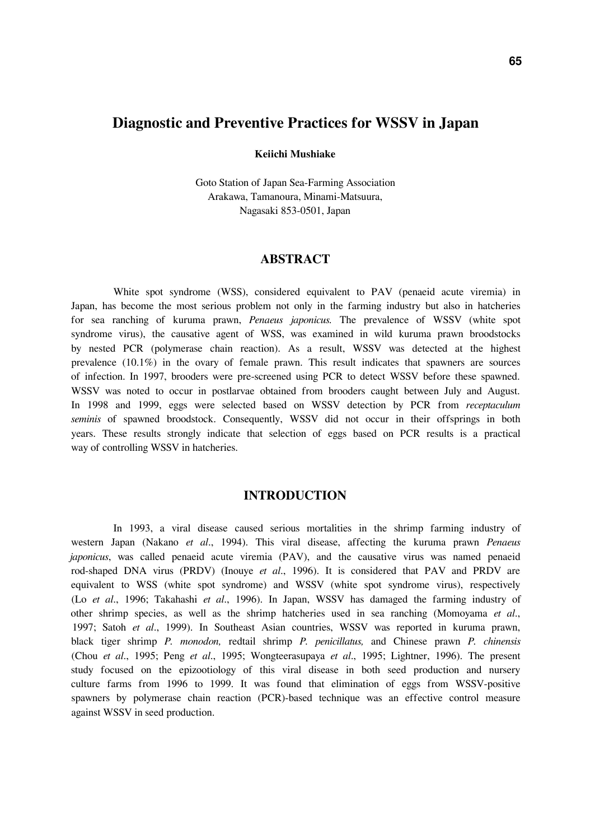# **Diagnostic and Preventive Practices for WSSV in Japan**

#### **Keiichi Mushiake**

Goto Station of Japan Sea-Farming Association Arakawa, Tamanoura, Minami-Matsuura, Nagasaki 853-0501, Japan

#### **ABSTRACT**

White spot syndrome (WSS), considered equivalent to PAV (penaeid acute viremia) in Japan, has become the most serious problem not only in the farming industry but also in hatcheries for sea ranching of kuruma prawn, *Penaeus japonicus.* The prevalence of WSSV (white spot syndrome virus), the causative agent of WSS, was examined in wild kuruma prawn broodstocks by nested PCR (polymerase chain reaction). As a result, WSSV was detected at the highest prevalence  $(10.1\%)$  in the ovary of female prawn. This result indicates that spawners are sources of infection. In 1997, brooders were pre-screened using PCR to detect WSSV before these spawned. WSSV was noted to occur in postlarvae obtained from brooders caught between July and August. In 1998 and 1999, eggs were selected based on WSSV detection by PCR from *receptaculum seminis* of spawned broodstock. Consequently, WSSV did not occur in their offsprings in both years. These results strongly indicate that selection of eggs based on PCR results is a practical way of controlling WSSV in hatcheries.

# **INTRODUCTION**

In 1993, a viral disease caused serious mortalities in the shrimp farming industry of western Japan (Nakano *et al*., 1994). This viral disease, affecting the kuruma prawn *Penaeus japonicus*, was called penaeid acute viremia (PAV), and the causative virus was named penaeid rod-shaped DNA virus (PRDV) (Inouye *et al*., 1996). It is considered that PAV and PRDV are equivalent to WSS (white spot syndrome) and WSSV (white spot syndrome virus), respectively (Lo *et al*., 1996; Takahashi *et al*., 1996). In Japan, WSSV has damaged the farming industry of other shrimp species, as well as the shrimp hatcheries used in sea ranching (Momoyama *et al*., 1997; Satoh *et al*., 1999). In Southeast Asian countries, WSSV was reported in kuruma prawn, black tiger shrimp *P. monodon,* redtail shrimp *P. penicillatus,* and Chinese prawn *P. chinensis* (Chou *et al*., 1995; Peng *et al*., 1995; Wongteerasupaya *et al*., 1995; Lightner, 1996). The present study focused on the epizootiology of this viral disease in both seed production and nursery culture farms from 1996 to 1999. It was found that elimination of eggs from WSSV-positive spawners by polymerase chain reaction (PCR)-based technique was an effective control measure against WSSV in seed production.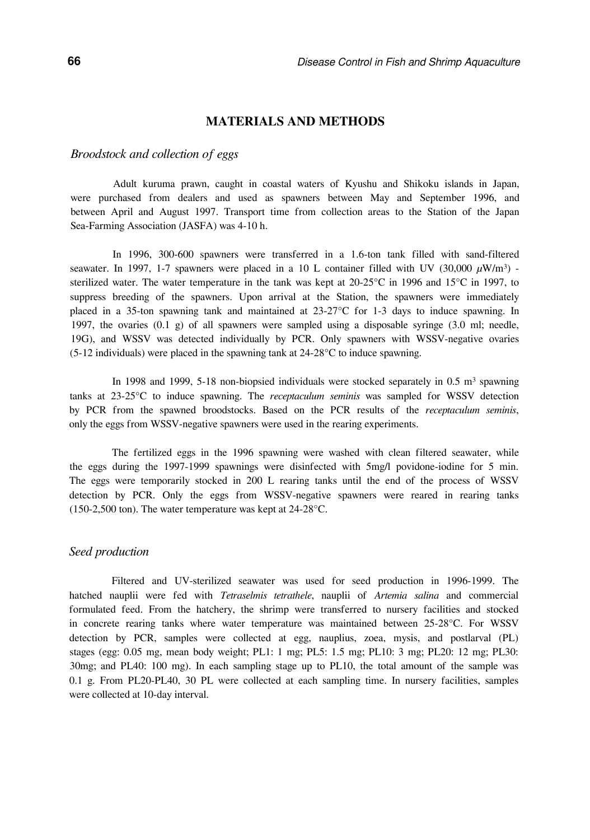# **MATERIALS AND METHODS**

#### *Broodstock and collection of eggs*

Adult kuruma prawn, caught in coastal waters of Kyushu and Shikoku islands in Japan, were purchased from dealers and used as spawners between May and September 1996, and between April and August 1997. Transport time from collection areas to the Station of the Japan Sea-Farming Association (JASFA) was 4-10 h.

In 1996, 300-600 spawners were transferred in a 1.6-ton tank filled with sand-filtered seawater. In 1997, 1-7 spawners were placed in a 10 L container filled with UV  $(30,000 \ \mu W/m^3)$  sterilized water. The water temperature in the tank was kept at 20-25°C in 1996 and 15°C in 1997, to suppress breeding of the spawners. Upon arrival at the Station, the spawners were immediately placed in a 35-ton spawning tank and maintained at 23-27°C for 1-3 days to induce spawning. In 1997, the ovaries (0.1 g) of all spawners were sampled using a disposable syringe (3.0 ml; needle, 19G), and WSSV was detected individually by PCR. Only spawners with WSSV-negative ovaries (5-12 individuals) were placed in the spawning tank at 24-28°C to induce spawning.

In 1998 and 1999, 5-18 non-biopsied individuals were stocked separately in  $0.5 \text{ m}^3$  spawning tanks at 23-25°C to induce spawning. The *receptaculum seminis* was sampled for WSSV detection by PCR from the spawned broodstocks. Based on the PCR results of the *receptaculum seminis*, only the eggs from WSSV-negative spawners were used in the rearing experiments.

The fertilized eggs in the 1996 spawning were washed with clean filtered seawater, while the eggs during the 1997-1999 spawnings were disinfected with 5mg/l povidone-iodine for 5 min. The eggs were temporarily stocked in 200 L rearing tanks until the end of the process of WSSV detection by PCR. Only the eggs from WSSV-negative spawners were reared in rearing tanks (150-2,500 ton). The water temperature was kept at 24-28°C.

#### *Seed production*

Filtered and UV-sterilized seawater was used for seed production in 1996-1999. The hatched nauplii were fed with *Tetraselmis tetrathele*, nauplii of *Artemia salina* and commercial formulated feed. From the hatchery, the shrimp were transferred to nursery facilities and stocked in concrete rearing tanks where water temperature was maintained between 25-28°C. For WSSV detection by PCR, samples were collected at egg, nauplius, zoea, mysis, and postlarval (PL) stages (egg: 0.05 mg, mean body weight; PL1: 1 mg; PL5: 1.5 mg; PL10: 3 mg; PL20: 12 mg; PL30: 30mg; and PL40: 100 mg). In each sampling stage up to PL10, the total amount of the sample was 0.1 g. From PL20-PL40, 30 PL were collected at each sampling time. In nursery facilities, samples were collected at 10-day interval.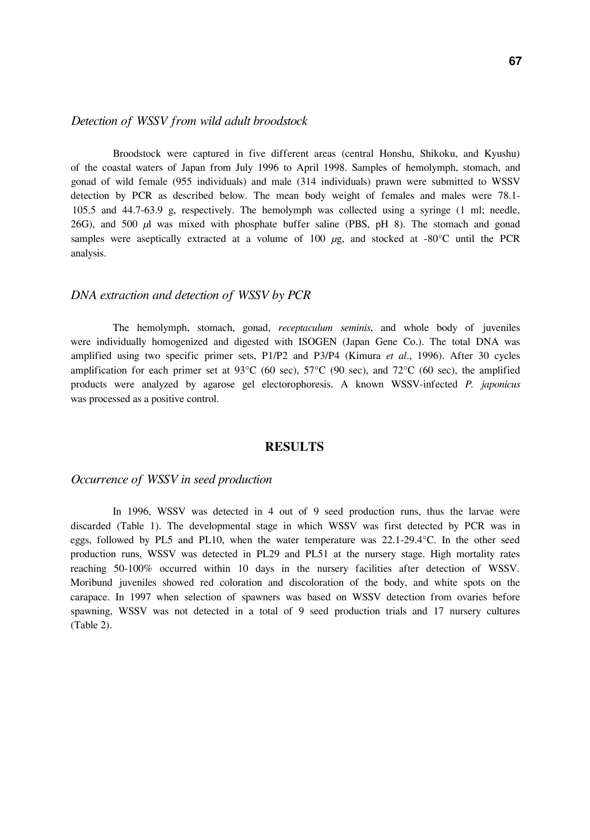## *Detection of WSSV from wild adult broodstock*

Broodstock were captured in five different areas (central Honshu, Shikoku, and Kyushu) of the coastal waters of Japan from July 1996 to April 1998. Samples of hemolymph, stomach, and gonad of wild female (955 individuals) and male (314 individuals) prawn were submitted to WSSV detection by PCR as described below. The mean body weight of females and males were 78.1- 105.5 and 44.7-63.9 g, respectively. The hemolymph was collected using a syringe (1 ml; needle, 26G), and 500 *µ*l was mixed with phosphate buffer saline (PBS, pH 8). The stomach and gonad samples were aseptically extracted at a volume of 100  $\mu$ g, and stocked at -80°C until the PCR analysis.

# *DNA extraction and detection of WSSV by PCR*

The hemolymph, stomach, gonad, *receptaculum seminis*, and whole body of juveniles were individually homogenized and digested with ISOGEN (Japan Gene Co.). The total DNA was amplified using two specific primer sets, P1/P2 and P3/P4 (Kimura *et al*., 1996). After 30 cycles amplification for each primer set at  $93^{\circ}C$  (60 sec),  $57^{\circ}C$  (90 sec), and  $72^{\circ}C$  (60 sec), the amplified products were analyzed by agarose gel electorophoresis. A known WSSV-infected *P. japonicus* was processed as a positive control.

### **RESULTS**

#### *Occurrence of WSSV in seed production*

In 1996, WSSV was detected in 4 out of 9 seed production runs, thus the larvae were discarded (Table 1). The developmental stage in which WSSV was first detected by PCR was in eggs, followed by PL5 and PL10, when the water temperature was 22.1-29.4°C. In the other seed production runs, WSSV was detected in PL29 and PL51 at the nursery stage. High mortality rates reaching 50-100% occurred within 10 days in the nursery facilities after detection of WSSV. Moribund juveniles showed red coloration and discoloration of the body, and white spots on the carapace. In 1997 when selection of spawners was based on WSSV detection from ovaries before spawning, WSSV was not detected in a total of 9 seed production trials and 17 nursery cultures (Table 2).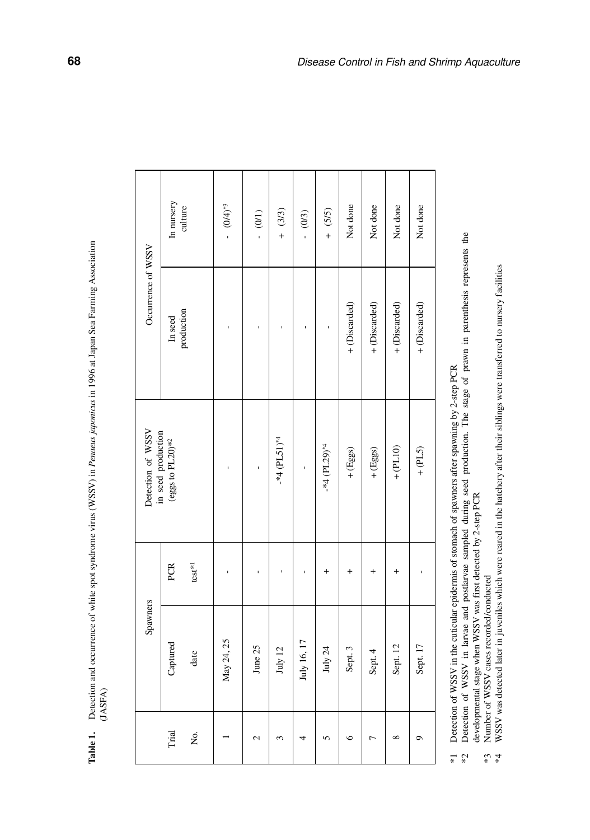Table 1. Detection and occurrence of white spot syndrome virus (WSSV) in *Penaeus, japonicus* in 1996 at Japan Sea Farming Association **Table 1.** Detection and occurrence of white spot syndrome virus (WSSV) in *Penaeus japonicus* in 1996 at Japan Sea Farming Association (JASFA)

|                                                             | In nursery<br>culture        |          | $-$ (0/4) <sup>*3</sup> | $-$ (0/1)                  | $+ (3/3)$ | $- (0/3)$      | $+ (5/5)$  | Not done      | Not done       | Not done      | Not done      |
|-------------------------------------------------------------|------------------------------|----------|-------------------------|----------------------------|-----------|----------------|------------|---------------|----------------|---------------|---------------|
| Occurrence of WSSV                                          | production<br><b>In seed</b> |          |                         |                            |           |                |            | + (Discarded) | + (Discarded)  | + (Discarded) | + (Discarded) |
| Detection of WSSV<br>in seed production<br>(eggs to PL20)*2 |                              |          |                         | $-*4$ (PL51) <sup>*4</sup> |           | $-44$ (PL29)*4 | $+$ (Eggs) | $+$ (Eggs)    | $+$ (PL10)     | $+$ (PL5)     |               |
| Spawners                                                    | PCR                          | $test*1$ |                         |                            |           |                |            |               |                |               |               |
|                                                             | Captured                     | date     | May 24, 25              | June 25                    | July 12   | July 16, 17    | July 24    | Sept. 3       | Sept. 4        | Sept. 12      | Sept. 17      |
|                                                             | Trial                        | Χo.      |                         | $\mathbf{\Omega}$          | 3         |                | 5          | $\bullet$     | $\overline{ }$ | $\infty$      | $\circ$       |

\*1 Detection of WSSV in the cuticular epidermis of stomach of spawners after spawning by 2-step PCR

Detection of WSSV in the cuticular epidermis of stomach of spawners after spawning by 2-step PCR<br>Detection of WSSV in larvae and postlarvae sampled during seed production. The stage of prawn in parenthesis represents the d \*2 Detection of WSSV in larvae and postlarvae sampled during seed production. The stage of prawn in parenthesis represents the developmental stage when WSSV was first detected by 2-step PCR  $\stackrel{*}{\sim}$   $\stackrel{*}{\sim}$ 

Number of WSSV cases recorded/conducted \*3 Number of WSSV cases recorded/conducted  $* \frac{*}{4}$ 

WSSV was detected later in juveniles which were reared in the hatchery after their siblings were transferred to nursery facilities \*4 WSSV was detected later in juveniles which were reared in the hatchery after their siblings were transferred to nursery facilities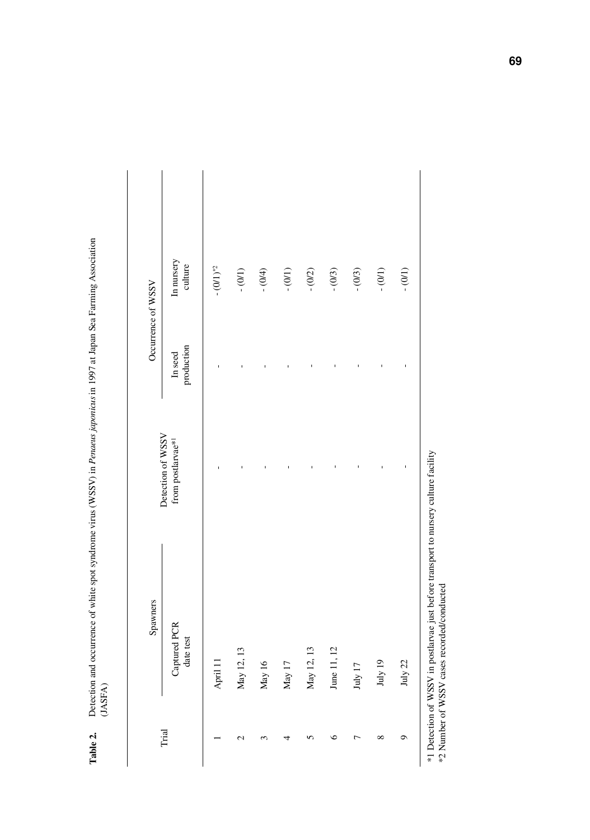|       | Spawners                  |                                        |                       | Occurrence of WSSV    |
|-------|---------------------------|----------------------------------------|-----------------------|-----------------------|
| Trial | Captured PCR<br>date test | Detection of WSSV<br>from postlarvae*1 | production<br>In seed | In nursery<br>culture |
|       | April 11                  |                                        | ï                     | $ (0/1)^{*2}$         |
|       | May 12, 13                |                                        |                       | $- (0/1)$             |
|       | May 16                    |                                        |                       | $- (0/4)$             |
|       | May $17$                  |                                        |                       | $- (0/1)$             |
|       | May 12, 13                |                                        |                       | $- (0/2)$             |
|       | June 11, 12               |                                        |                       | $- (0/3)$             |
|       | July 17                   |                                        |                       | $- (0/3)$             |
|       | July 19 $\,$              |                                        |                       | $- (0/1)$             |
|       | July 22                   |                                        |                       | $- (0/1)$             |

Detection and occurrence of white spot syndrome virus (WSSV) in Penaeus japonicus in 1997 at Japan Sea Farming Association (JASFA) **Table 2.** Detection and occurrence of white spot syndrome virus (WSSV) in *Penaeus japonicus* in 1997 at Japan Sea Farming Association Table 2.

**69**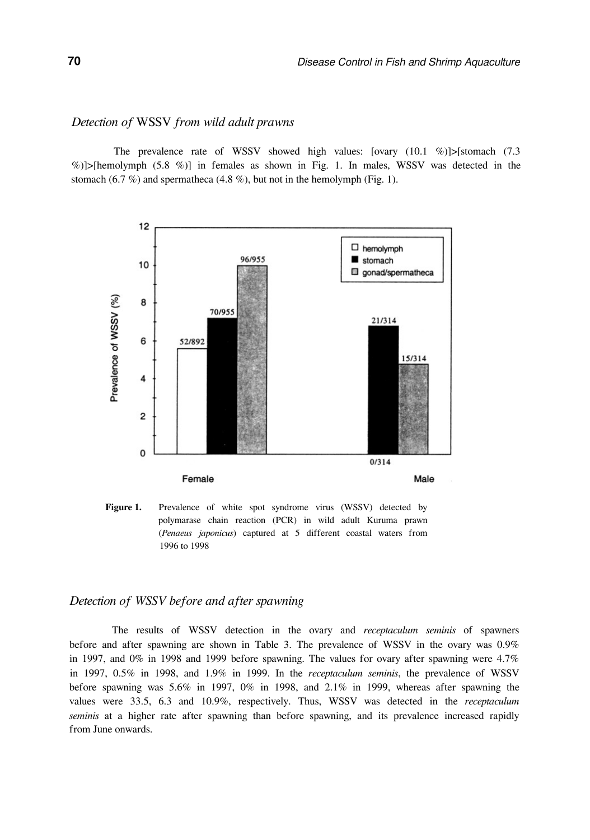### *Detection of* WSSV *from wild adult prawns*

The prevalence rate of WSSV showed high values:  $\lceil \frac{\alpha}{10.1} \frac{\gamma}{\gamma} \rceil$  =  $\lceil \frac{\alpha}{10.1} \frac{\gamma}{\gamma} \rceil$  =  $\lceil \frac{\alpha}{10.1} \frac{\gamma}{\gamma} \rceil$ %)]>[hemolymph (5.8 %)] in females as shown in Fig. 1. In males, WSSV was detected in the stomach (6.7 %) and spermatheca (4.8 %), but not in the hemolymph (Fig. 1).



Figure 1. Prevalence of white spot syndrome virus (WSSV) detected by polymarase chain reaction (PCR) in wild adult Kuruma prawn (*Penaeus japonicus*) captured at 5 different coastal waters from 1996 to 1998

# *Detection of WSSV before and after spawning*

The results of WSSV detection in the ovary and *receptaculum seminis* of spawners before and after spawning are shown in Table 3. The prevalence of WSSV in the ovary was 0.9% in 1997, and  $0\%$  in 1998 and 1999 before spawning. The values for ovary after spawning were 4.7% in 1997, 0.5% in 1998, and 1.9% in 1999. In the *receptaculum seminis*, the prevalence of WSSV before spawning was 5.6% in 1997, 0% in 1998, and 2.1% in 1999, whereas after spawning the values were 33.5, 6.3 and 10.9%, respectively. Thus, WSSV was detected in the *receptaculum seminis* at a higher rate after spawning than before spawning, and its prevalence increased rapidly from June onwards.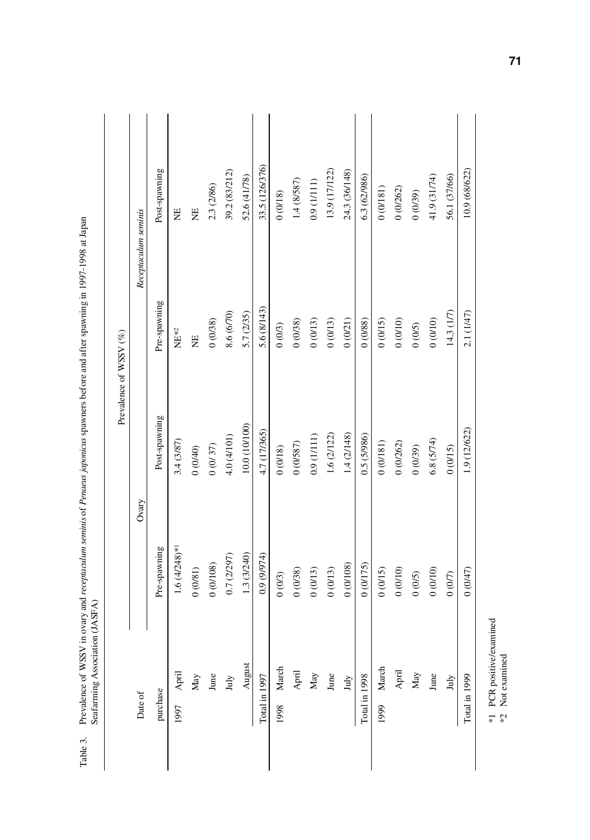|                          |                              |               | Prevalence of WSSV (%) |                      |
|--------------------------|------------------------------|---------------|------------------------|----------------------|
| Date of                  |                              | Ovary         |                        | Receptaculum seminis |
| purchase                 | Pre-spawning                 | Post-spawning | Pre-spawning           | Post-spawning        |
| April<br>1997            | $1.6 (4/248)$ * <sup>1</sup> | 3.4 (3/87)    | $\rm{NE}^{*2}$         | ΗE                   |
| $_{\rm May}$             | $0\ (081)$                   | (0400)        | ₩                      | Η                    |
| June $Juy$               | 0(0/108)                     | $0\ (0/37)$   | (0.0038)               | 2.3 (2/86)           |
|                          | 0.7 (2/297)                  | 4.0 (4/101)   | 8.6 (6/70)             | 39.2 (83/212)        |
| August                   | 1.3 (3/240)                  | 10.0 (10/100) | 5.7 (2/35)             | 52.6 (41/78)         |
| Total in 1997            | 0.9 (9/974)                  | 4.7 (17/365)  | 5.6 (8/143)            | 33.5 (126/376)       |
| March<br>1998            | 0(0/3)                       | 0(0/18)       | 0(0/3)                 | 0(0/18)              |
| ${\sf April}$            | 0(0/38)                      | 0(0/587)      | (0.0038)               | 1.4 (8/587)          |
| $_{\rm May}$             | 0(0/13)                      | 0.9(1/111)    | 0(0/13)                | 0.9(1/111)           |
| $_{\rm{June}}$           | 0(0/13)                      | 1.6 (2/122)   | 0(0/13)                | 13.9 (17/122)        |
| $\mathop{\mathrm{July}}$ | 0(0/108)                     | 1.4 (2/148)   | 0(0/21)                | 24.3 (36/148)        |
| Total in 1998            | 0(0/175)                     | 0.5(5/986)    | (0.88)                 | 6.3 (62/986)         |
| 1999 March               | 0(0/15)                      | 0(0/181)      | 0(0/15)                | 0(0/181)             |
| ${\rm April}$            | 0(0/10)                      | 0(0/262)      | (0110)                 | 0(0/262)             |
| May                      | 0(0/5)                       | (65/0)0       | (5/0)                  | (65/0)               |
| June                     | 0(0/10)                      | 6.8(5/74)     | (0110)                 | 41.9 (31/74)         |
| July                     | 0(0/7)                       | 0(0/15)       | 14.3(1/7)              | 56.1 (37/66)         |
| Total in 1999            | (0.6047)                     | 1.9 (12/622)  | 2.1 (1/47)             | 10.9 (68/622)        |

Prevalence of WSSV in ovary and receptaculum seminis of Penaeus japonicus spawners before and after spawning in 1997-1998 at Japan<br>Seafarming Association (JASFA) Table 3. Prevalence of WSSV in ovary and *receptaculum seminis* of *Penaeus japonicus* spawners before and after spawning in 1997-1998 at Japan Seafarming Association (JASFA) Table 3.

 $\ast 1$  PCR positive/examined  $\ast 2$  Not examined \*1 PCR positive/examined \*2 Not examined

**71**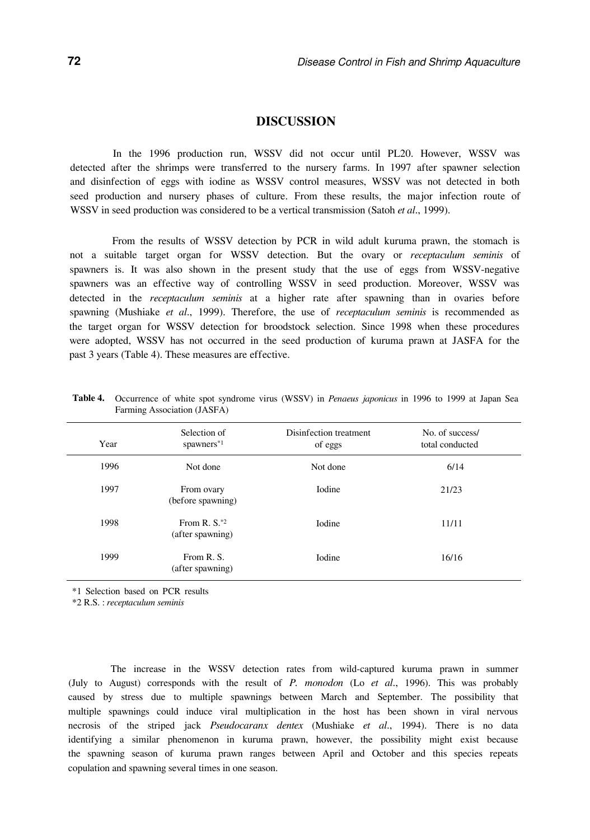# **DISCUSSION**

In the 1996 production run, WSSV did not occur until PL20. However, WSSV was detected after the shrimps were transferred to the nursery farms. In 1997 after spawner selection and disinfection of eggs with iodine as WSSV control measures, WSSV was not detected in both seed production and nursery phases of culture. From these results, the major infection route of WSSV in seed production was considered to be a vertical transmission (Satoh *et al*., 1999).

From the results of WSSV detection by PCR in wild adult kuruma prawn, the stomach is not a suitable target organ for WSSV detection. But the ovary or *receptaculum seminis* of spawners is. It was also shown in the present study that the use of eggs from WSSV-negative spawners was an effective way of controlling WSSV in seed production. Moreover, WSSV was detected in the *receptaculum seminis* at a higher rate after spawning than in ovaries before spawning (Mushiake *et al*., 1999). Therefore, the use of *receptaculum seminis* is recommended as the target organ for WSSV detection for broodstock selection. Since 1998 when these procedures were adopted, WSSV has not occurred in the seed production of kuruma prawn at JASFA for the past 3 years (Table 4). These measures are effective.

| Year | Selection of<br>spawners <sup>*1</sup> | Disinfection treatment<br>of eggs | No. of success/<br>total conducted |
|------|----------------------------------------|-----------------------------------|------------------------------------|
| 1996 | Not done                               | Not done                          | 6/14                               |
| 1997 | From ovary<br>(before spawning)        | Iodine                            | 21/23                              |
| 1998 | From $R. S^*{}^2$<br>(after spawning)  | <b>I</b> odine                    | 11/11                              |
| 1999 | From R.S.<br>(after spawning)          | <b>I</b> odine                    | 16/16                              |

**Table 4.** Occurrence of white spot syndrome virus (WSSV) in *Penaeus japonicus* in 1996 to 1999 at Japan Sea Farming Association (JASFA)

\*1 Selection based on PCR results

\*2 R.S. : *receptaculum seminis*

The increase in the WSSV detection rates from wild-captured kuruma prawn in summer (July to August) corresponds with the result of *P. monodon* (Lo *et al*., 1996). This was probably caused by stress due to multiple spawnings between March and September. The possibility that multiple spawnings could induce viral multiplication in the host has been shown in viral nervous necrosis of the striped jack *Pseudocaranx dentex* (Mushiake *et al*., 1994). There is no data identifying a similar phenomenon in kuruma prawn, however, the possibility might exist because the spawning season of kuruma prawn ranges between April and October and this species repeats copulation and spawning several times in one season.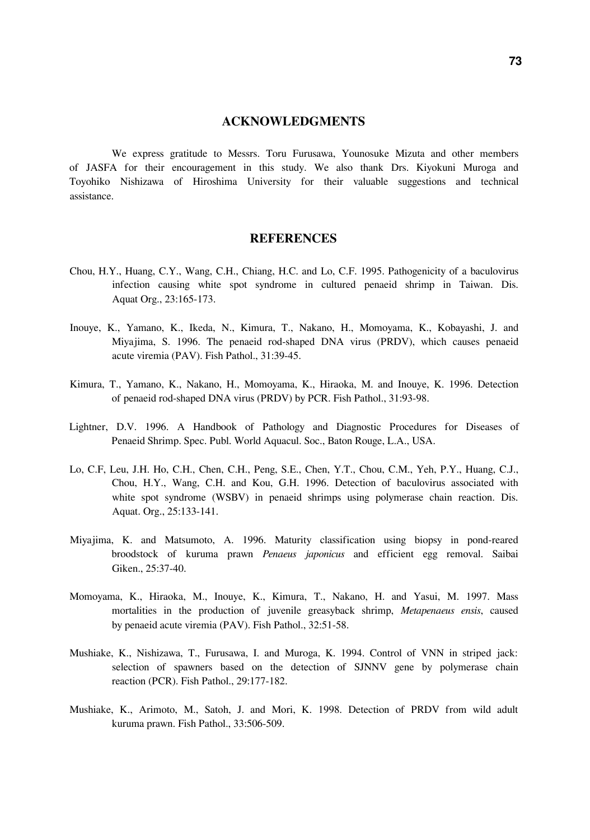### **ACKNOWLEDGMENTS**

We express gratitude to Messrs. Toru Furusawa, Younosuke Mizuta and other members of JASFA for their encouragement in this study. We also thank Drs. Kiyokuni Muroga and Toyohiko Nishizawa of Hiroshima University for their valuable suggestions and technical assistance.

### **REFERENCES**

- Chou, H.Y., Huang, C.Y., Wang, C.H., Chiang, H.C. and Lo, C.F. 1995. Pathogenicity of a baculovirus infection causing white spot syndrome in cultured penaeid shrimp in Taiwan. Dis. Aquat Org., 23:165-173.
- Inouye, K., Yamano, K., Ikeda, N., Kimura, T., Nakano, H., Momoyama, K., Kobayashi, J. and Miyajima, S. 1996. The penaeid rod-shaped DNA virus (PRDV), which causes penaeid acute viremia (PAV). Fish Pathol., 31:39-45.
- Kimura, T., Yamano, K., Nakano, H., Momoyama, K., Hiraoka, M. and Inouye, K. 1996. Detection of penaeid rod-shaped DNA virus (PRDV) by PCR. Fish Pathol., 31:93-98.
- Lightner, D.V. 1996. A Handbook of Pathology and Diagnostic Procedures for Diseases of Penaeid Shrimp. Spec. Publ. World Aquacul. Soc., Baton Rouge, L.A., USA.
- Lo, C.F, Leu, J.H. Ho, C.H., Chen, C.H., Peng, S.E., Chen, Y.T., Chou, C.M., Yeh, P.Y., Huang, C.J., Chou, H.Y., Wang, C.H. and Kou, G.H. 1996. Detection of baculovirus associated with white spot syndrome (WSBV) in penaeid shrimps using polymerase chain reaction. Dis. Aquat. Org., 25:133-141.
- Miyajima, K. and Matsumoto, A. 1996. Maturity classification using biopsy in pond-reared broodstock of kuruma prawn *Penaeus japonicus* and efficient egg removal. Saibai Giken., 25:37-40.
- Momoyama, K., Hiraoka, M., Inouye, K., Kimura, T., Nakano, H. and Yasui, M. 1997. Mass mortalities in the production of juvenile greasyback shrimp, *Metapenaeus ensis*, caused by penaeid acute viremia (PAV). Fish Pathol., 32:51-58.
- Mushiake, K., Nishizawa, T., Furusawa, I. and Muroga, K. 1994. Control of VNN in striped jack: selection of spawners based on the detection of SJNNV gene by polymerase chain reaction (PCR). Fish Pathol., 29:177-182.
- Mushiake, K., Arimoto, M., Satoh, J. and Mori, K. 1998. Detection of PRDV from wild adult kuruma prawn. Fish Pathol., 33:506-509.